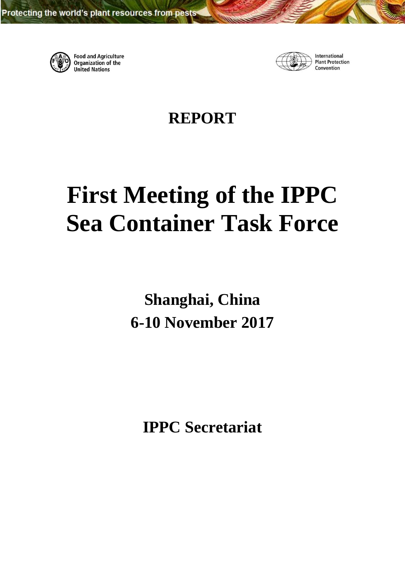

**Food and Agriculture** Organization of the **United Nations** 



International **Plant Protection** Convention

**REPORT**

# <span id="page-0-0"></span>**First Meeting of the IPPC Sea Container Task Force**

**Shanghai, China 6-10 November 2017**

**IPPC Secretariat**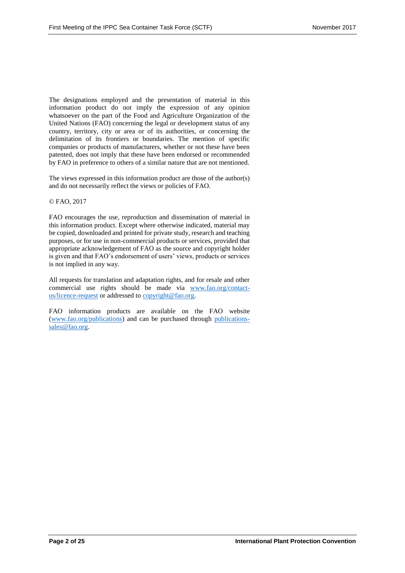The designations employed and the presentation of material in this information product do not imply the expression of any opinion whatsoever on the part of the Food and Agriculture Organization of the United Nations (FAO) concerning the legal or development status of any country, territory, city or area or of its authorities, or concerning the delimitation of its frontiers or boundaries. The mention of specific companies or products of manufacturers, whether or not these have been patented, does not imply that these have been endorsed or recommended by FAO in preference to others of a similar nature that are not mentioned.

The views expressed in this information product are those of the author(s) and do not necessarily reflect the views or policies of FAO.

#### © FAO, 2017

FAO encourages the use, reproduction and dissemination of material in this information product. Except where otherwise indicated, material may be copied, downloaded and printed for private study, research and teaching purposes, or for use in non-commercial products or services, provided that appropriate acknowledgement of FAO as the source and copyright holder is given and that FAO's endorsement of users' views, products or services is not implied in any way.

All requests for translation and adaptation rights, and for resale and other commercial use rights should be made via [www.fao.org/contact](http://www.fao.org/contact-us/licence-request)[us/licence-request](http://www.fao.org/contact-us/licence-request) or addressed t[o copyright@fao.org.](mailto:copyright@fao.org)

FAO information products are available on the FAO website [\(www.fao.org/publications\)](http://www.fao.org/publications) and can be purchased through [publications](mailto:publications-sales@fao.org)[sales@fao.org.](mailto:publications-sales@fao.org)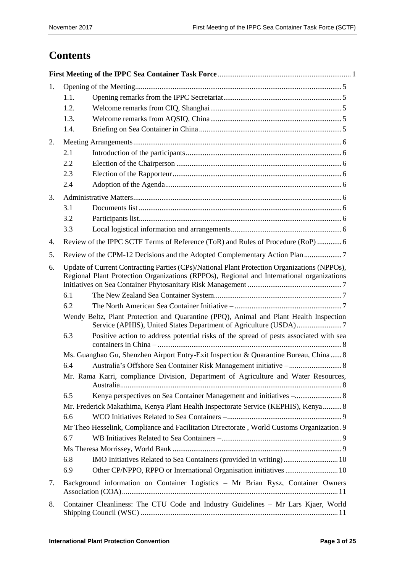# **Contents**

| 1.                                                                                                                                                                                                     |      |                                                                                           |  |
|--------------------------------------------------------------------------------------------------------------------------------------------------------------------------------------------------------|------|-------------------------------------------------------------------------------------------|--|
|                                                                                                                                                                                                        | 1.1. |                                                                                           |  |
|                                                                                                                                                                                                        | 1.2. |                                                                                           |  |
|                                                                                                                                                                                                        | 1.3. |                                                                                           |  |
|                                                                                                                                                                                                        | 1.4. |                                                                                           |  |
| 2.                                                                                                                                                                                                     |      |                                                                                           |  |
|                                                                                                                                                                                                        | 2.1  |                                                                                           |  |
|                                                                                                                                                                                                        | 2.2  |                                                                                           |  |
|                                                                                                                                                                                                        | 2.3  |                                                                                           |  |
|                                                                                                                                                                                                        | 2.4  |                                                                                           |  |
| 3.                                                                                                                                                                                                     |      |                                                                                           |  |
|                                                                                                                                                                                                        | 3.1  |                                                                                           |  |
|                                                                                                                                                                                                        | 3.2  |                                                                                           |  |
|                                                                                                                                                                                                        | 3.3  |                                                                                           |  |
| 4.                                                                                                                                                                                                     |      | Review of the IPPC SCTF Terms of Reference (ToR) and Rules of Procedure (RoP)  6          |  |
| 5.                                                                                                                                                                                                     |      |                                                                                           |  |
| Update of Current Contracting Parties (CPs)/National Plant Protection Organizations (NPPOs),<br>6.<br>Regional Plant Protection Organizations (RPPOs), Regional and International organizations<br>6.1 |      |                                                                                           |  |
|                                                                                                                                                                                                        | 6.2  |                                                                                           |  |
|                                                                                                                                                                                                        |      | Wendy Beltz, Plant Protection and Quarantine (PPQ), Animal and Plant Health Inspection    |  |
|                                                                                                                                                                                                        | 6.3  | Positive action to address potential risks of the spread of pests associated with sea     |  |
|                                                                                                                                                                                                        |      | Ms. Guanghao Gu, Shenzhen Airport Entry-Exit Inspection & Quarantine Bureau, China 8      |  |
|                                                                                                                                                                                                        | 6.4  |                                                                                           |  |
|                                                                                                                                                                                                        |      | Mr. Rama Karri, compliance Division, Department of Agriculture and Water Resources,       |  |
| 6.5                                                                                                                                                                                                    |      |                                                                                           |  |
|                                                                                                                                                                                                        |      | Mr. Frederick Makathima, Kenya Plant Health Inspectorate Service (KEPHIS), Kenya 8        |  |
|                                                                                                                                                                                                        | 6.6  |                                                                                           |  |
|                                                                                                                                                                                                        |      | Mr Theo Hesselink, Compliance and Facilitation Directorate, World Customs Organization. 9 |  |
|                                                                                                                                                                                                        | 6.7  |                                                                                           |  |
|                                                                                                                                                                                                        |      |                                                                                           |  |
|                                                                                                                                                                                                        | 6.8  |                                                                                           |  |
|                                                                                                                                                                                                        | 6.9  |                                                                                           |  |
| 7.                                                                                                                                                                                                     |      | Background information on Container Logistics - Mr Brian Rysz, Container Owners           |  |
| 8.                                                                                                                                                                                                     |      | Container Cleanliness: The CTU Code and Industry Guidelines - Mr Lars Kjaer, World        |  |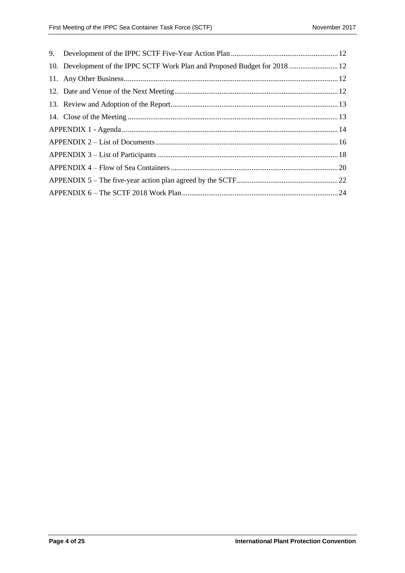|  | 10. Development of the IPPC SCTF Work Plan and Proposed Budget for 2018  12 |  |  |  |
|--|-----------------------------------------------------------------------------|--|--|--|
|  |                                                                             |  |  |  |
|  |                                                                             |  |  |  |
|  |                                                                             |  |  |  |
|  |                                                                             |  |  |  |
|  |                                                                             |  |  |  |
|  |                                                                             |  |  |  |
|  |                                                                             |  |  |  |
|  |                                                                             |  |  |  |
|  |                                                                             |  |  |  |
|  |                                                                             |  |  |  |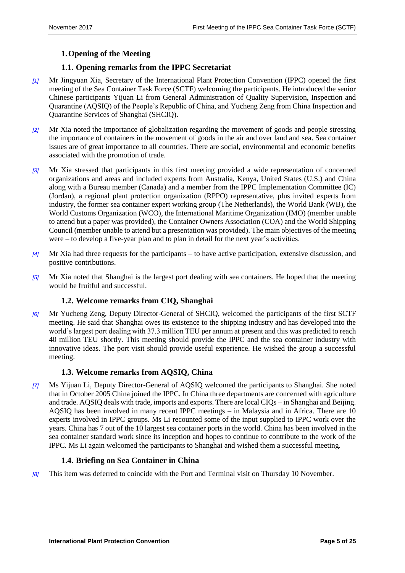# <span id="page-4-0"></span>**1.Opening of the Meeting**

# <span id="page-4-1"></span>**1.1. Opening remarks from the IPPC Secretariat**

- *[1]* Mr Jingyuan Xia, Secretary of the International Plant Protection Convention (IPPC) opened the first meeting of the Sea Container Task Force (SCTF) welcoming the participants. He introduced the senior Chinese participants Yijuan Li from General Administration of Quality Supervision, Inspection and Quarantine (AQSIQ) of the People's Republic of China, and Yucheng Zeng from China Inspection and Quarantine Services of Shanghai (SHCIQ).
- *[2]* Mr Xia noted the importance of globalization regarding the movement of goods and people stressing the importance of containers in the movement of goods in the air and over land and sea. Sea container issues are of great importance to all countries. There are social, environmental and economic benefits associated with the promotion of trade.
- *[3]* Mr Xia stressed that participants in this first meeting provided a wide representation of concerned organizations and areas and included experts from Australia, Kenya, United States (U.S.) and China along with a Bureau member (Canada) and a member from the IPPC Implementation Committee (IC) (Jordan), a regional plant protection organization (RPPO) representative, plus invited experts from industry, the former sea container expert working group (The Netherlands), the World Bank (WB), the World Customs Organization (WCO), the International Maritime Organization (IMO) (member unable to attend but a paper was provided), the Container Owners Association (COA) and the World Shipping Council (member unable to attend but a presentation was provided). The main objectives of the meeting were – to develop a five-year plan and to plan in detail for the next year's activities.
- *[4]* Mr Xia had three requests for the participants to have active participation, extensive discussion, and positive contributions.
- *[5]* Mr Xia noted that Shanghai is the largest port dealing with sea containers. He hoped that the meeting would be fruitful and successful.

# <span id="page-4-2"></span>**1.2. Welcome remarks from CIQ, Shanghai**

*[6]* Mr Yucheng Zeng, Deputy Director-General of SHCIQ, welcomed the participants of the first SCTF meeting. He said that Shanghai owes its existence to the shipping industry and has developed into the world's largest port dealing with 37.3 million TEU per annum at present and this was predicted to reach 40 million TEU shortly. This meeting should provide the IPPC and the sea container industry with innovative ideas. The port visit should provide useful experience. He wished the group a successful meeting.

# <span id="page-4-3"></span>**1.3. Welcome remarks from AQSIQ, China**

*[7]* Ms Yijuan Li, Deputy Director-General of AQSIQ welcomed the participants to Shanghai. She noted that in October 2005 China joined the IPPC. In China three departments are concerned with agriculture and trade. AQSIQ deals with trade, imports and exports. There are local CIQs – in Shanghai and Beijing. AQSIQ has been involved in many recent IPPC meetings – in Malaysia and in Africa. There are 10 experts involved in IPPC groups. Ms Li recounted some of the input supplied to IPPC work over the years. China has 7 out of the 10 largest sea container ports in the world. China has been involved in the sea container standard work since its inception and hopes to continue to contribute to the work of the IPPC. Ms Li again welcomed the participants to Shanghai and wished them a successful meeting.

# <span id="page-4-4"></span>**1.4. Briefing on Sea Container in China**

*[8]* This item was deferred to coincide with the Port and Terminal visit on Thursday 10 November.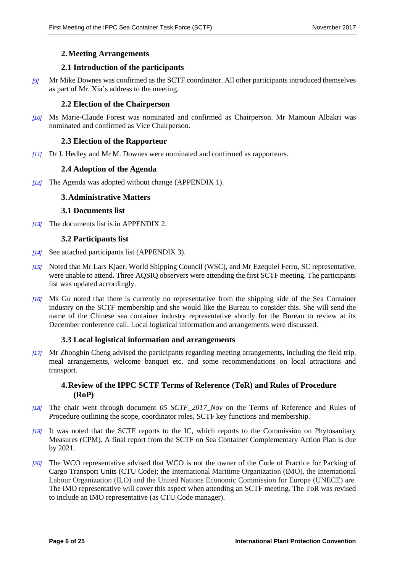#### <span id="page-5-0"></span>**2.Meeting Arrangements**

#### <span id="page-5-1"></span>**2.1 Introduction of the participants**

*[9]* Mr Mike Downes was confirmed as the SCTF coordinator. All other participants introduced themselves as part of Mr. Xia's address to the meeting.

#### <span id="page-5-2"></span>**2.2 Election of the Chairperson**

*[10]* Ms Marie-Claude Forest was nominated and confirmed as Chairperson. Mr Mamoun Albakri was nominated and confirmed as Vice Chairperson.

#### <span id="page-5-3"></span>**2.3 Election of the Rapporteur**

*[11]* Dr J. Hedley and Mr M. Downes were nominated and confirmed as rapporteurs.

#### <span id="page-5-4"></span>**2.4 Adoption of the Agenda**

*[12]* The Agenda was adopted without change (APPENDIX 1).

#### <span id="page-5-5"></span>**3.Administrative Matters**

#### <span id="page-5-6"></span>**3.1 Documents list**

*[13]* The documents list is in APPENDIX 2.

#### <span id="page-5-7"></span>**3.2 Participants list**

- *[14]* See attached participants list (APPENDIX 3).
- *[15]* Noted that Mr Lars Kjaer, World Shipping Council (WSC), and Mr Ezequiel Ferro, SC representative, were unable to attend. Three AQSIQ observers were attending the first SCTF meeting. The participants list was updated accordingly.
- *[16]* Ms Gu noted that there is currently no representative from the shipping side of the Sea Container industry on the SCTF membership and she would like the Bureau to consider this. She will send the name of the Chinese sea container industry representative shortly for the Bureau to review at its December conference call. Local logistical information and arrangements were discussed.

#### <span id="page-5-8"></span>**3.3 Local logistical information and arrangements**

*[17]* Mr Zhongbin Cheng advised the participants regarding meeting arrangements, including the field trip, meal arrangements, welcome banquet etc. and some recommendations on local attractions and transport.

# <span id="page-5-9"></span>**4.Review of the IPPC SCTF Terms of Reference (ToR) and Rules of Procedure (RoP)**

- *[18]* The chair went through document *05 SCTF\_2017\_Nov* on the Terms of Reference and Rules of Procedure outlining the scope, coordinator roles, SCTF key functions and membership.
- *[19]* It was noted that the SCTF reports to the IC, which reports to the Commission on Phytosanitary Measures (CPM). A final report from the SCTF on Sea Container Complementary Action Plan is due by 2021.
- *[20]* The WCO representative advised that WCO is not the owner of the Code of Practice for Packing of Cargo Transport Units (CTU Code); the International Maritime Organization (IMO), the International Labour Organization (ILO) and the United Nations Economic Commission for Europe (UNECE) are. The IMO representative will cover this aspect when attending an SCTF meeting. The ToR was revised to include an IMO representative (as CTU Code manager).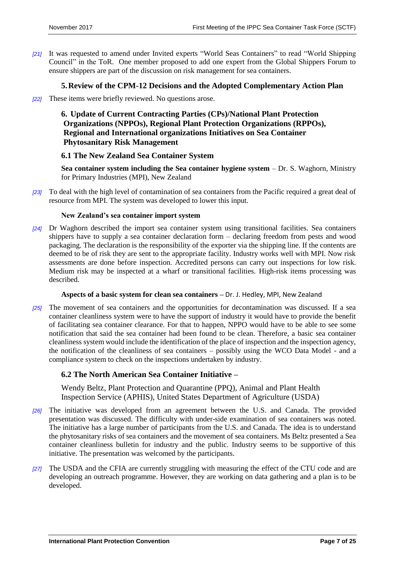*[21]* It was requested to amend under Invited experts "World Seas Containers" to read "World Shipping Council" in the ToR. One member proposed to add one expert from the Global Shippers Forum to ensure shippers are part of the discussion on risk management for sea containers.

#### <span id="page-6-0"></span>**5.Review of the CPM-12 Decisions and the Adopted Complementary Action Plan**

*[22]* These items were briefly reviewed. No questions arose.

# <span id="page-6-1"></span>**6. Update of Current Contracting Parties (CPs)/National Plant Protection Organizations (NPPOs), Regional Plant Protection Organizations (RPPOs), Regional and International organizations Initiatives on Sea Container Phytosanitary Risk Management**

#### <span id="page-6-2"></span>**6.1 The New Zealand Sea Container System**

**Sea container system including the Sea container hygiene system** – Dr. S. Waghorn, Ministry for Primary Industries (MPI), New Zealand

*[23]* To deal with the high level of contamination of sea containers from the Pacific required a great deal of resource from MPI. The system was developed to lower this input.

#### **New Zealand's sea container import system**

*[24]* Dr Waghorn described the import sea container system using transitional facilities. Sea containers shippers have to supply a sea container declaration form – declaring freedom from pests and wood packaging. The declaration is the responsibility of the exporter via the shipping line. If the contents are deemed to be of risk they are sent to the appropriate facility. Industry works well with MPI. Now risk assessments are done before inspection. Accredited persons can carry out inspections for low risk. Medium risk may be inspected at a wharf or transitional facilities. High-risk items processing was described.

#### **Aspects of a basic system for clean sea containers –** Dr. J. Hedley, MPI, New Zealand

*[25]* The movement of sea containers and the opportunities for decontamination was discussed. If a sea container cleanliness system were to have the support of industry it would have to provide the benefit of facilitating sea container clearance. For that to happen, NPPO would have to be able to see some notification that said the sea container had been found to be clean. Therefore, a basic sea container cleanliness system would include the identification of the place of inspection and the inspection agency, the notification of the cleanliness of sea containers – possibly using the WCO Data Model - and a compliance system to check on the inspections undertaken by industry.

#### <span id="page-6-3"></span>**6.2 The North American Sea Container Initiative –**

<span id="page-6-4"></span>Wendy Beltz, Plant Protection and Quarantine (PPQ), Animal and Plant Health Inspection Service (APHIS), United States Department of Agriculture (USDA)

- *[26]* The initiative was developed from an agreement between the U.S. and Canada. The provided presentation was discussed. The difficulty with under-side examination of sea containers was noted. The initiative has a large number of participants from the U.S. and Canada. The idea is to understand the phytosanitary risks of sea containers and the movement of sea containers. Ms Beltz presented a Sea container cleanliness bulletin for industry and the public. Industry seems to be supportive of this initiative. The presentation was welcomed by the participants.
- *[27]* The USDA and the CFIA are currently struggling with measuring the effect of the CTU code and are developing an outreach programme. However, they are working on data gathering and a plan is to be developed.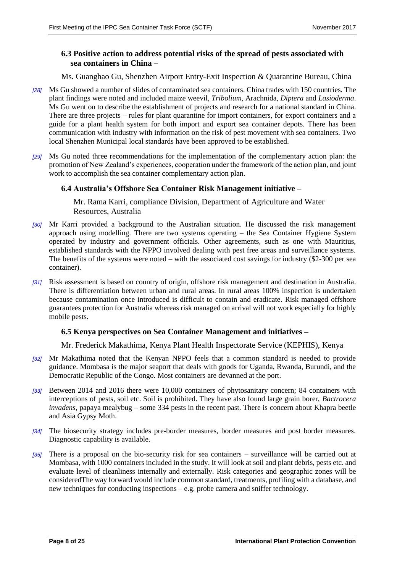# <span id="page-7-0"></span>**6.3 Positive action to address potential risks of the spread of pests associated with sea containers in China –**

#### <span id="page-7-1"></span>Ms. Guanghao Gu, Shenzhen Airport Entry-Exit Inspection & Quarantine Bureau, China

- *[28]* Ms Gu showed a number of slides of contaminated sea containers. China trades with 150 countries. The plant findings were noted and included maize weevil, *Tribolium*, Arachnida, *Diptera* and *Lasioderma*. Ms Gu went on to describe the establishment of projects and research for a national standard in China. There are three projects – rules for plant quarantine for import containers, for export containers and a guide for a plant health system for both import and export sea container depots. There has been communication with industry with information on the risk of pest movement with sea containers. Two local Shenzhen Municipal local standards have been approved to be established.
- *[29]* Ms Gu noted three recommendations for the implementation of the complementary action plan: the promotion of New Zealand's experiences, cooperation under the framework of the action plan, and joint work to accomplish the sea container complementary action plan.

#### <span id="page-7-3"></span><span id="page-7-2"></span>**6.4 Australia's Offshore Sea Container Risk Management initiative –**

Mr. Rama Karri, compliance Division, Department of Agriculture and Water Resources, Australia

- *[30]* Mr Karri provided a background to the Australian situation. He discussed the risk management approach using modelling. There are two systems operating – the Sea Container Hygiene System operated by industry and government officials. Other agreements, such as one with Mauritius, established standards with the NPPO involved dealing with pest free areas and surveillance systems. The benefits of the systems were noted – with the associated cost savings for industry (\$2-300 per sea container).
- *[31]* Risk assessment is based on country of origin, offshore risk management and destination in Australia. There is differentiation between urban and rural areas. In rural areas 100% inspection is undertaken because contamination once introduced is difficult to contain and eradicate. Risk managed offshore guarantees protection for Australia whereas risk managed on arrival will not work especially for highly mobile pests.

#### <span id="page-7-4"></span>**6.5 Kenya perspectives on Sea Container Management and initiatives –**

<span id="page-7-5"></span>Mr. Frederick Makathima, Kenya Plant Health Inspectorate Service (KEPHIS), Kenya

- *[32]* Mr Makathima noted that the Kenyan NPPO feels that a common standard is needed to provide guidance. Mombasa is the major seaport that deals with goods for Uganda, Rwanda, Burundi, and the Democratic Republic of the Congo. Most containers are devanned at the port.
- *[33]* Between 2014 and 2016 there were 10,000 containers of phytosanitary concern; 84 containers with interceptions of pests, soil etc. Soil is prohibited. They have also found large grain borer, *Bactrocera invadens*, papaya mealybug – some 334 pests in the recent past. There is concern about Khapra beetle and Asia Gypsy Moth.
- *[34]* The biosecurity strategy includes pre-border measures, border measures and post border measures. Diagnostic capability is available.
- *[35]* There is a proposal on the bio-security risk for sea containers surveillance will be carried out at Mombasa, with 1000 containers included in the study. It will look at soil and plant debris, pests etc. and evaluate level of cleanliness internally and externally. Risk categories and geographic zones will be consideredThe way forward would include common standard, treatments, profiling with a database, and new techniques for conducting inspections – e.g. probe camera and sniffer technology.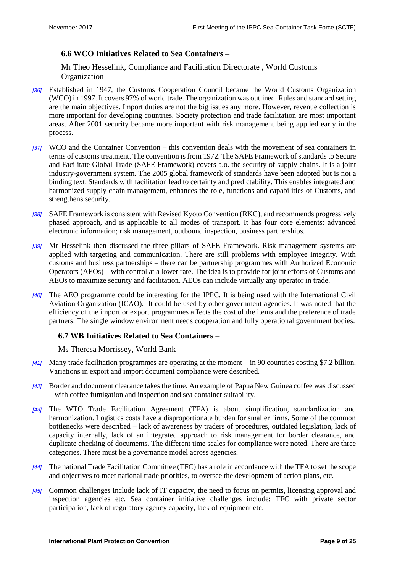# <span id="page-8-0"></span>**6.6 WCO Initiatives Related to Sea Containers –**

<span id="page-8-1"></span>Mr Theo Hesselink, Compliance and Facilitation Directorate , World Customs Organization

- *[36]* Established in 1947, the Customs Cooperation Council became the World Customs Organization (WCO) in 1997. It covers 97% of world trade. The organization was outlined. Rules and standard setting are the main objectives. Import duties are not the big issues any more. However, revenue collection is more important for developing countries. Society protection and trade facilitation are most important areas. After 2001 security became more important with risk management being applied early in the process.
- *[37]* WCO and the Container Convention this convention deals with the movement of sea containers in terms of customs treatment. The convention is from 1972. The SAFE Framework of standards to Secure and Facilitate Global Trade (SAFE Framework) covers a.o. the security of supply chains. It is a joint industry-government system. The 2005 global framework of standards have been adopted but is not a binding text. Standards with facilitation lead to certainty and predictability. This enables integrated and harmonized supply chain management, enhances the role, functions and capabilities of Customs, and strengthens security.
- *[38]* SAFE Framework is consistent with Revised Kyoto Convention (RKC), and recommends progressively phased approach, and is applicable to all modes of transport. It has four core elements: advanced electronic information; risk management, outbound inspection, business partnerships.
- *[39]* Mr Hesselink then discussed the three pillars of SAFE Framework. Risk management systems are applied with targeting and communication. There are still problems with employee integrity. With customs and business partnerships – there can be partnership programmes with Authorized Economic Operators (AEOs) – with control at a lower rate. The idea is to provide for joint efforts of Customs and AEOs to maximize security and facilitation. AEOs can include virtually any operator in trade.
- *[40]* The AEO programme could be interesting for the IPPC. It is being used with the International Civil Aviation Organization (ICAO). It could be used by other government agencies. It was noted that the efficiency of the import or export programmes affects the cost of the items and the preference of trade partners. The single window environment needs cooperation and fully operational government bodies.

# <span id="page-8-2"></span>**6.7 WB Initiatives Related to Sea Containers –**

#### <span id="page-8-3"></span>Ms Theresa Morrissey, World Bank

- *[41]* Many trade facilitation programmes are operating at the moment in 90 countries costing \$7.2 billion. Variations in export and import document compliance were described.
- *[42]* Border and document clearance takes the time. An example of Papua New Guinea coffee was discussed – with coffee fumigation and inspection and sea container suitability.
- *[43]* The WTO Trade Facilitation Agreement (TFA) is about simplification, standardization and harmonization. Logistics costs have a disproportionate burden for smaller firms. Some of the common bottlenecks were described – lack of awareness by traders of procedures, outdated legislation, lack of capacity internally, lack of an integrated approach to risk management for border clearance, and duplicate checking of documents. The different time scales for compliance were noted. There are three categories. There must be a governance model across agencies.
- *[44]* The national Trade Facilitation Committee (TFC) has a role in accordance with the TFA to set the scope and objectives to meet national trade priorities, to oversee the development of action plans, etc.
- *[45]* Common challenges include lack of IT capacity, the need to focus on permits, licensing approval and inspection agencies etc. Sea container initiative challenges include: TFC with private sector participation, lack of regulatory agency capacity, lack of equipment etc.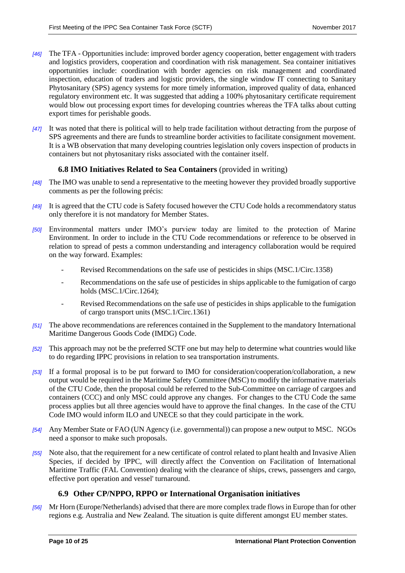- *[46]* The TFA Opportunities include: improved border agency cooperation, better engagement with traders and logistics providers, cooperation and coordination with risk management. Sea container initiatives opportunities include: coordination with border agencies on risk management and coordinated inspection, education of traders and logistic providers, the single window IT connecting to Sanitary Phytosanitary (SPS) agency systems for more timely information, improved quality of data, enhanced regulatory environment etc. It was suggested that adding a 100% phytosanitary certificate requirement would blow out processing export times for developing countries whereas the TFA talks about cutting export times for perishable goods.
- *[47]* It was noted that there is political will to help trade facilitation without detracting from the purpose of SPS agreements and there are funds to streamline border activities to facilitate consignment movement. It is a WB observation that many developing countries legislation only covers inspection of products in containers but not phytosanitary risks associated with the container itself.

# <span id="page-9-0"></span>**6.8 IMO Initiatives Related to Sea Containers** (provided in writing)

- *[48]* The IMO was unable to send a representative to the meeting however they provided broadly supportive comments as per the following précis:
- *[49]* It is agreed that the CTU code is Safety focused however the CTU Code holds a recommendatory status only therefore it is not mandatory for Member States.
- *[50]* Environmental matters under IMO's purview today are limited to the protection of Marine Environment. In order to include in the CTU Code recommendations or reference to be observed in relation to spread of pests a common understanding and interagency collaboration would be required on the way forward. Examples:
	- Revised Recommendations on the safe use of pesticides in ships (MSC.1/Circ.1358)
	- Recommendations on the safe use of pesticides in ships applicable to the fumigation of cargo holds (MSC.1/Circ.1264);
	- Revised Recommendations on the safe use of pesticides in ships applicable to the fumigation of cargo transport units (MSC.1/Circ.1361)
- *[51]* The above recommendations are references contained in the Supplement to the mandatory International Maritime Dangerous Goods Code (IMDG) Code.
- *[52]* This approach may not be the preferred SCTF one but may help to determine what countries would like to do regarding IPPC provisions in relation to sea transportation instruments.
- *[53]* If a formal proposal is to be put forward to IMO for consideration/cooperation/collaboration, a new output would be required in the Maritime Safety Committee (MSC) to modify the informative materials of the CTU Code, then the proposal could be referred to the Sub-Committee on carriage of cargoes and containers (CCC) and only MSC could approve any changes. For changes to the CTU Code the same process applies but all three agencies would have to approve the final changes. In the case of the CTU Code IMO would inform ILO and UNECE so that they could participate in the work.
- *[54]* Any Member State or FAO (UN Agency (i.e. governmental)) can propose a new output to MSC. NGOs need a sponsor to make such proposals.
- *[55]* Note also, that the requirement for a new certificate of control related to plant health and Invasive Alien Species, if decided by IPPC, will directly affect the Convention on Facilitation of International Maritime Traffic (FAL Convention) dealing with the clearance of ships, crews, passengers and cargo, effective port operation and vessel' turnaround.

# <span id="page-9-1"></span>**6.9 Other CP/NPPO, RPPO or International Organisation initiatives**

*[56]* Mr Horn (Europe/Netherlands) advised that there are more complex trade flows in Europe than for other regions e.g. Australia and New Zealand. The situation is quite different amongst EU member states.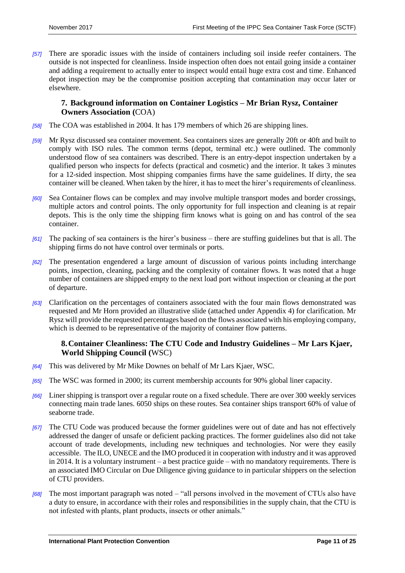*[57]* There are sporadic issues with the inside of containers including soil inside reefer containers. The outside is not inspected for cleanliness. Inside inspection often does not entail going inside a container and adding a requirement to actually enter to inspect would entail huge extra cost and time. Enhanced depot inspection may be the compromise position accepting that contamination may occur later or elsewhere.

# <span id="page-10-0"></span>**7. Background information on Container Logistics – Mr Brian Rysz, Container Owners Association (**COA)

- *[58]* The COA was established in 2004. It has 179 members of which 26 are shipping lines.
- *[59]* Mr Rysz discussed sea container movement. Sea containers sizes are generally 20ft or 40ft and built to comply with ISO rules. The common terms (depot, terminal etc.) were outlined. The commonly understood flow of sea containers was described. There is an entry-depot inspection undertaken by a qualified person who inspects for defects (practical and cosmetic) and the interior. It takes 3 minutes for a 12-sided inspection. Most shipping companies firms have the same guidelines. If dirty, the sea container will be cleaned. When taken by the hirer, it has to meet the hirer's requirements of cleanliness.
- *[60]* Sea Container flows can be complex and may involve multiple transport modes and border crossings, multiple actors and control points. The only opportunity for full inspection and cleaning is at repair depots. This is the only time the shipping firm knows what is going on and has control of the sea container.
- *[61]* The packing of sea containers is the hirer's business there are stuffing guidelines but that is all. The shipping firms do not have control over terminals or ports.
- *[62]* The presentation engendered a large amount of discussion of various points including interchange points, inspection, cleaning, packing and the complexity of container flows. It was noted that a huge number of containers are shipped empty to the next load port without inspection or cleaning at the port of departure.
- *[63]* Clarification on the percentages of containers associated with the four main flows demonstrated was requested and Mr Horn provided an illustrative slide (attached under Appendix 4) for clarification. Mr Rysz will provide the requested percentages based on the flows associated with his employing company, which is deemed to be representative of the majority of container flow patterns.

# <span id="page-10-1"></span>**8.Container Cleanliness: The CTU Code and Industry Guidelines – Mr Lars Kjaer, World Shipping Council (**WSC)

- *[64]* This was delivered by Mr Mike Downes on behalf of Mr Lars Kjaer, WSC.
- *[65]* The WSC was formed in 2000; its current membership accounts for 90% global liner capacity.
- *[66]* Liner shipping is transport over a regular route on a fixed schedule. There are over 300 weekly services connecting main trade lanes. 6050 ships on these routes. Sea container ships transport 60% of value of seaborne trade.
- *[67]* The CTU Code was produced because the former guidelines were out of date and has not effectively addressed the danger of unsafe or deficient packing practices. The former guidelines also did not take account of trade developments, including new techniques and technologies. Nor were they easily accessible. The ILO, UNECE and the IMO produced it in cooperation with industry and it was approved in 2014. It is a voluntary instrument – a best practice guide – with no mandatory requirements. There is an associated IMO Circular on Due Diligence giving guidance to in particular shippers on the selection of CTU providers.
- *[68]* The most important paragraph was noted "all persons involved in the movement of CTUs also have a duty to ensure, in accordance with their roles and responsibilities in the supply chain, that the CTU is not infested with plants, plant products, insects or other animals."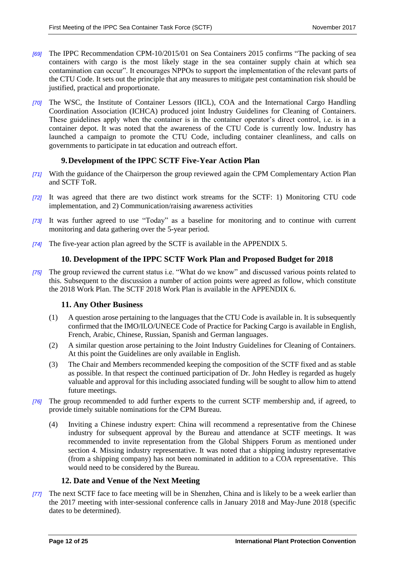- *[69]* The IPPC Recommendation CPM-10/2015/01 on Sea Containers 2015 confirms "The packing of sea containers with cargo is the most likely stage in the sea container supply chain at which sea contamination can occur". It encourages NPPOs to support the implementation of the relevant parts of the CTU Code. It sets out the principle that any measures to mitigate pest contamination risk should be justified, practical and proportionate.
- *[70]* The WSC, the Institute of Container Lessors (IICL), COA and the International Cargo Handling Coordination Association (ICHCA) produced joint Industry Guidelines for Cleaning of Containers. These guidelines apply when the container is in the container operator's direct control, i.e. is in a container depot. It was noted that the awareness of the CTU Code is currently low. Industry has launched a campaign to promote the CTU Code, including container cleanliness, and calls on governments to participate in tat education and outreach effort.

# <span id="page-11-0"></span>**9.Development of the IPPC SCTF Five-Year Action Plan**

- *[71]* With the guidance of the Chairperson the group reviewed again the CPM Complementary Action Plan and SCTF ToR.
- *[72]* It was agreed that there are two distinct work streams for the SCTF: 1) Monitoring CTU code implementation, and 2) Communication/raising awareness activities
- *[73]* It was further agreed to use "Today" as a baseline for monitoring and to continue with current monitoring and data gathering over the 5-year period.
- *[74]* The five-year action plan agreed by the SCTF is available in the APPENDIX 5.

# <span id="page-11-1"></span>**10. Development of the IPPC SCTF Work Plan and Proposed Budget for 2018**

*[75]* The group reviewed the current status i.e. "What do we know" and discussed various points related to this. Subsequent to the discussion a number of action points were agreed as follow, which constitute the 2018 Work Plan. The SCTF 2018 Work Plan is available in the APPENDIX 6.

# **11. Any Other Business**

- <span id="page-11-2"></span>(1) A question arose pertaining to the languages that the CTU Code is available in. It is subsequently confirmed that the IMO/ILO/UNECE Code of Practice for Packing Cargo is available in English, French, Arabic, Chinese, Russian, Spanish and German languages.
- (2) A similar question arose pertaining to the Joint Industry Guidelines for Cleaning of Containers. At this point the Guidelines are only available in English.
- (3) The Chair and Members recommended keeping the composition of the SCTF fixed and as stable as possible. In that respect the continued participation of Dr. John Hedley is regarded as hugely valuable and approval for this including associated funding will be sought to allow him to attend future meetings.
- *[76]* The group recommended to add further experts to the current SCTF membership and, if agreed, to provide timely suitable nominations for the CPM Bureau.
	- (4) Inviting a Chinese industry expert: China will recommend a representative from the Chinese industry for subsequent approval by the Bureau and attendance at SCTF meetings. It was recommended to invite representation from the Global Shippers Forum as mentioned under section 4. Missing industry representative. It was noted that a shipping industry representative (from a shipping company) has not been nominated in addition to a COA representative. This would need to be considered by the Bureau.

# <span id="page-11-3"></span>**12. Date and Venue of the Next Meeting**

*[77]* The next SCTF face to face meeting will be in Shenzhen, China and is likely to be a week earlier than the 2017 meeting with inter-sessional conference calls in January 2018 and May-June 2018 (specific dates to be determined).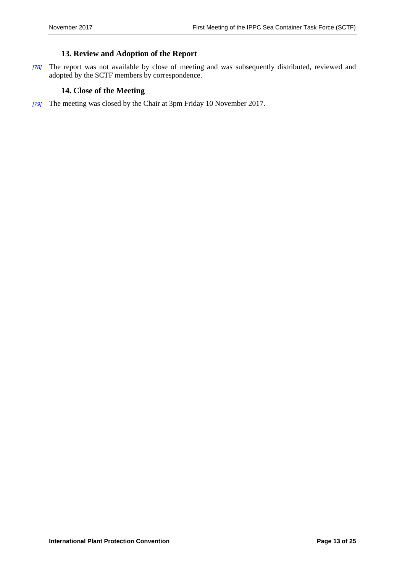# <span id="page-12-0"></span>**13. Review and Adoption of the Report**

*[78]* The report was not available by close of meeting and was subsequently distributed, reviewed and adopted by the SCTF members by correspondence.

# <span id="page-12-1"></span>**14. Close of the Meeting**

*[79]* The meeting was closed by the Chair at 3pm Friday 10 November 2017.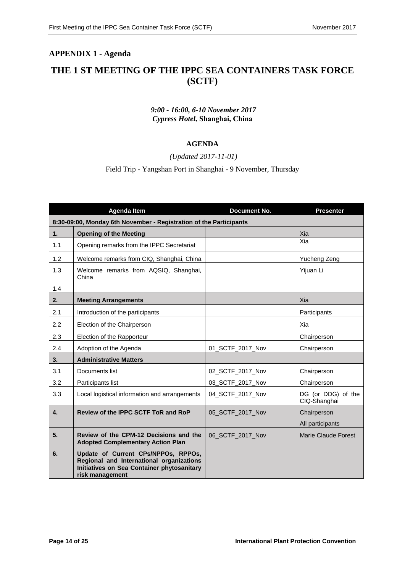# <span id="page-13-0"></span>**APPENDIX 1 - Agenda**

# **THE 1 ST MEETING OF THE IPPC SEA CONTAINERS TASK FORCE (SCTF)**

# *9:00 - 16:00, 6-10 November 2017 Cypress Hotel***, Shanghai, China**

# **AGENDA**

*(Updated 2017-11-01)*

Field Trip - Yangshan Port in Shanghai - 9 November, Thursday

|     | <b>Agenda Item</b>                                                                                                                               | <b>Document No.</b> | <b>Presenter</b>                   |  |  |
|-----|--------------------------------------------------------------------------------------------------------------------------------------------------|---------------------|------------------------------------|--|--|
|     | 8:30-09:00, Monday 6th November - Registration of the Participants                                                                               |                     |                                    |  |  |
| 1.  | <b>Opening of the Meeting</b>                                                                                                                    |                     | Xia                                |  |  |
| 1.1 | Opening remarks from the IPPC Secretariat                                                                                                        |                     | Xia                                |  |  |
| 1.2 | Welcome remarks from CIQ, Shanghai, China                                                                                                        |                     | Yucheng Zeng                       |  |  |
| 1.3 | Welcome remarks from AQSIQ, Shanghai,<br>China                                                                                                   |                     | Yijuan Li                          |  |  |
| 1.4 |                                                                                                                                                  |                     |                                    |  |  |
| 2.  | <b>Meeting Arrangements</b>                                                                                                                      |                     | Xia                                |  |  |
| 2.1 | Introduction of the participants                                                                                                                 |                     | Participants                       |  |  |
| 2.2 | Election of the Chairperson                                                                                                                      |                     | Xia                                |  |  |
| 2.3 | Election of the Rapporteur                                                                                                                       |                     | Chairperson                        |  |  |
| 2.4 | Adoption of the Agenda                                                                                                                           | 01_SCTF_2017_Nov    | Chairperson                        |  |  |
| 3.  | <b>Administrative Matters</b>                                                                                                                    |                     |                                    |  |  |
| 3.1 | Documents list                                                                                                                                   | 02_SCTF_2017_Nov    | Chairperson                        |  |  |
| 3.2 | Participants list                                                                                                                                | 03_SCTF_2017_Nov    | Chairperson                        |  |  |
| 3.3 | Local logistical information and arrangements                                                                                                    | 04_SCTF_2017_Nov    | DG (or DDG) of the<br>CIQ-Shanghai |  |  |
| 4.  | Review of the IPPC SCTF ToR and RoP                                                                                                              | 05 SCTF 2017 Nov    | Chairperson                        |  |  |
|     |                                                                                                                                                  |                     | All participants                   |  |  |
| 5.  | Review of the CPM-12 Decisions and the<br><b>Adopted Complementary Action Plan</b>                                                               | 06_SCTF_2017_Nov    | <b>Marie Claude Forest</b>         |  |  |
| 6.  | Update of Current CPs/NPPOs, RPPOs,<br>Regional and International organizations<br>Initiatives on Sea Container phytosanitary<br>risk management |                     |                                    |  |  |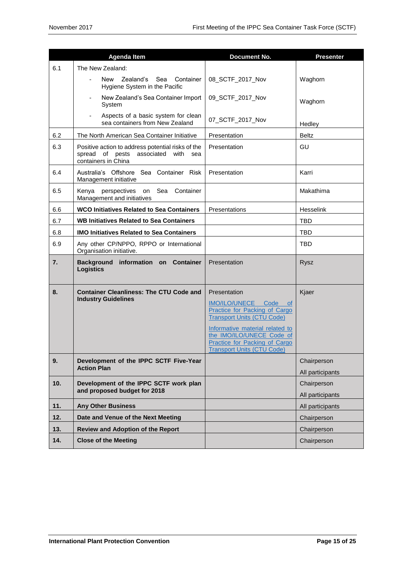|     | <b>Agenda Item</b>                                                                                              | <b>Document No.</b>                                                                                                                                                                                                                               | <b>Presenter</b>                |
|-----|-----------------------------------------------------------------------------------------------------------------|---------------------------------------------------------------------------------------------------------------------------------------------------------------------------------------------------------------------------------------------------|---------------------------------|
| 6.1 | The New Zealand:                                                                                                |                                                                                                                                                                                                                                                   |                                 |
|     | Zealand's<br>Sea<br>Container<br>New<br>Hygiene System in the Pacific                                           | 08_SCTF_2017_Nov                                                                                                                                                                                                                                  | Waghorn                         |
|     | New Zealand's Sea Container Import<br>System                                                                    | 09_SCTF_2017_Nov                                                                                                                                                                                                                                  | Waghorn                         |
|     | Aspects of a basic system for clean<br>$\overline{\phantom{a}}$<br>sea containers from New Zealand              | 07_SCTF_2017_Nov                                                                                                                                                                                                                                  | Hedley                          |
| 6.2 | The North American Sea Container Initiative                                                                     | Presentation                                                                                                                                                                                                                                      | <b>Beltz</b>                    |
| 6.3 | Positive action to address potential risks of the<br>spread of pests associated with sea<br>containers in China | Presentation                                                                                                                                                                                                                                      | GU                              |
| 6.4 | Australia's Offshore Sea Container Risk<br>Management initiative                                                | Presentation                                                                                                                                                                                                                                      | Karri                           |
| 6.5 | Kenya perspectives on Sea Container<br>Management and initiatives                                               |                                                                                                                                                                                                                                                   | Makathima                       |
| 6.6 | <b>WCO Initiatives Related to Sea Containers</b>                                                                | Presentations                                                                                                                                                                                                                                     | Hesselink                       |
| 6.7 | <b>WB Initiatives Related to Sea Containers</b>                                                                 |                                                                                                                                                                                                                                                   | <b>TBD</b>                      |
| 6.8 | <b>IMO Initiatives Related to Sea Containers</b>                                                                |                                                                                                                                                                                                                                                   | <b>TBD</b>                      |
| 6.9 | Any other CP/NPPO, RPPO or International<br>Organisation initiative.                                            |                                                                                                                                                                                                                                                   | <b>TBD</b>                      |
| 7.  | Background information on Container<br><b>Logistics</b>                                                         | Presentation                                                                                                                                                                                                                                      | <b>Rysz</b>                     |
| 8.  | <b>Container Cleanliness: The CTU Code and</b><br><b>Industry Guidelines</b>                                    | Presentation<br>IMO/ILO/UNECE Code of<br>Practice for Packing of Cargo<br><b>Transport Units (CTU Code)</b><br>Informative material related to<br>the IMO/ILO/UNECE Code of<br>Practice for Packing of Cargo<br><b>Transport Units (CTU Code)</b> | Kjaer                           |
| 9.  | Development of the IPPC SCTF Five-Year<br><b>Action Plan</b>                                                    |                                                                                                                                                                                                                                                   | Chairperson<br>All participants |
| 10. | Development of the IPPC SCTF work plan<br>and proposed budget for 2018                                          |                                                                                                                                                                                                                                                   | Chairperson<br>All participants |
| 11. | <b>Any Other Business</b>                                                                                       |                                                                                                                                                                                                                                                   | All participants                |
| 12. | Date and Venue of the Next Meeting                                                                              |                                                                                                                                                                                                                                                   | Chairperson                     |
| 13. | <b>Review and Adoption of the Report</b>                                                                        |                                                                                                                                                                                                                                                   | Chairperson                     |
| 14. | <b>Close of the Meeting</b>                                                                                     |                                                                                                                                                                                                                                                   | Chairperson                     |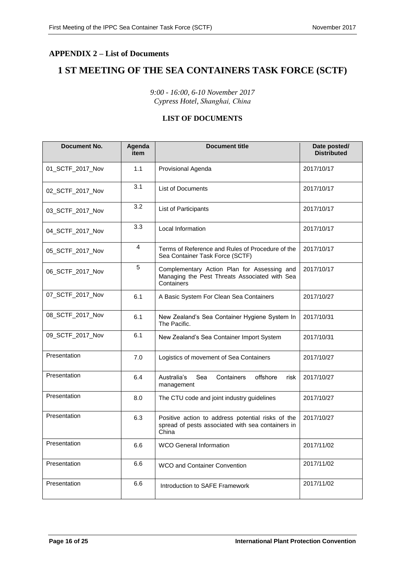# <span id="page-15-0"></span>**APPENDIX 2 – List of Documents**

# **1 ST MEETING OF THE SEA CONTAINERS TASK FORCE (SCTF)**

*9:00 - 16:00, 6-10 November 2017 Cypress Hotel, Shanghai, China*

# **LIST OF DOCUMENTS**

| <b>Document No.</b> | Agenda<br>item | <b>Document title</b>                                                                                           | Date posted/<br><b>Distributed</b> |
|---------------------|----------------|-----------------------------------------------------------------------------------------------------------------|------------------------------------|
| 01_SCTF_2017_Nov    | 1.1            | Provisional Agenda                                                                                              | 2017/10/17                         |
| 02_SCTF_2017_Nov    | 3.1            | List of Documents                                                                                               | 2017/10/17                         |
| 03_SCTF_2017_Nov    | 3.2            | <b>List of Participants</b>                                                                                     | 2017/10/17                         |
| 04_SCTF_2017_Nov    | 3.3            | Local Information                                                                                               | 2017/10/17                         |
| 05_SCTF_2017_Nov    | 4              | Terms of Reference and Rules of Procedure of the<br>Sea Container Task Force (SCTF)                             | 2017/10/17                         |
| 06_SCTF_2017_Nov    | 5              | Complementary Action Plan for Assessing and<br>Managing the Pest Threats Associated with Sea<br>Containers      | 2017/10/17                         |
| 07_SCTF_2017_Nov    | 6.1            | A Basic System For Clean Sea Containers                                                                         | 2017/10/27                         |
| 08_SCTF_2017_Nov    | 6.1            | New Zealand's Sea Container Hygiene System In<br>The Pacific.                                                   | 2017/10/31                         |
| 09_SCTF_2017_Nov    | 6.1            | New Zealand's Sea Container Import System                                                                       | 2017/10/31                         |
| Presentation        | 7.0            | Logistics of movement of Sea Containers                                                                         | 2017/10/27                         |
| Presentation        | 6.4            | Australia's<br>Containers<br>offshore<br>Sea<br>risk<br>management                                              | 2017/10/27                         |
| Presentation        | 8.0            | The CTU code and joint industry guidelines                                                                      | 2017/10/27                         |
| Presentation        | 6.3            | Positive action to address potential risks of the<br>spread of pests associated with sea containers in<br>China | 2017/10/27                         |
| Presentation        | 6.6            | <b>WCO General Information</b>                                                                                  | 2017/11/02                         |
| Presentation        | 6.6            | WCO and Container Convention                                                                                    | 2017/11/02                         |
| Presentation        | 6.6            | Introduction to SAFE Framework                                                                                  | 2017/11/02                         |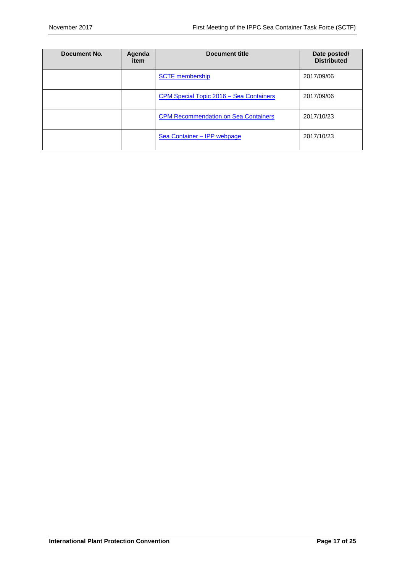| Document No. | Agenda<br>item | <b>Document title</b>                       | Date posted/<br><b>Distributed</b> |
|--------------|----------------|---------------------------------------------|------------------------------------|
|              |                | <b>SCTF</b> membership                      | 2017/09/06                         |
|              |                | CPM Special Topic 2016 - Sea Containers     | 2017/09/06                         |
|              |                | <b>CPM Recommendation on Sea Containers</b> | 2017/10/23                         |
|              |                | Sea Container - IPP webpage                 | 2017/10/23                         |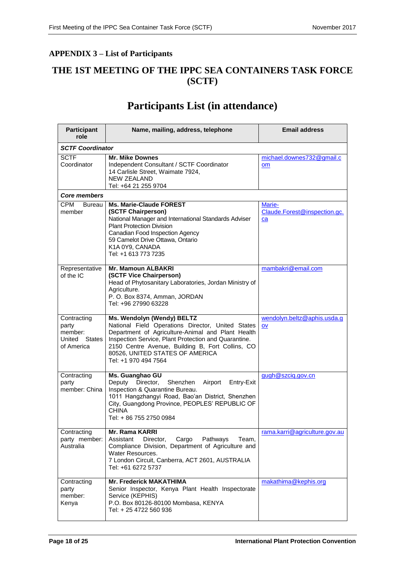# <span id="page-17-0"></span>**APPENDIX 3 – List of Participants**

# **THE 1ST MEETING OF THE IPPC SEA CONTAINERS TASK FORCE (SCTF)**

# **Participants List (in attendance)**

| <b>Participant</b><br>role                                     | Name, mailing, address, telephone                                                                                                                                                                                                                                                                           | <b>Email address</b>                         |  |  |  |
|----------------------------------------------------------------|-------------------------------------------------------------------------------------------------------------------------------------------------------------------------------------------------------------------------------------------------------------------------------------------------------------|----------------------------------------------|--|--|--|
| <b>SCTF Coordinator</b>                                        |                                                                                                                                                                                                                                                                                                             |                                              |  |  |  |
| <b>SCTF</b><br>Coordinator                                     | <b>Mr. Mike Downes</b><br>Independent Consultant / SCTF Coordinator<br>14 Carlisle Street, Waimate 7924,<br><b>NEW ZEALAND</b><br>Tel: +64 21 255 9704                                                                                                                                                      | michael.downes732@gmail.c<br>om              |  |  |  |
| <b>Core members</b>                                            |                                                                                                                                                                                                                                                                                                             |                                              |  |  |  |
| <b>CPM</b><br><b>Bureau</b><br>member                          | <b>Ms. Marie-Claude FOREST</b><br>(SCTF Chairperson)<br>National Manager and International Standards Adviser<br><b>Plant Protection Division</b><br>Canadian Food Inspection Agency<br>59 Camelot Drive Ottawa, Ontario<br>K1A 0Y9, CANADA<br>Tel: +1 613 773 7235                                          | Marie-<br>Claude.Forest@inspection.gc.<br>ca |  |  |  |
| Representative<br>of the IC                                    | <b>Mr. Mamoun ALBAKRI</b><br>(SCTF Vice Chairperson)<br>Head of Phytosanitary Laboratories, Jordan Ministry of<br>Agriculture.<br>P. O. Box 8374, Amman, JORDAN<br>Tel: +96 27990 63228                                                                                                                     | mambakri@email.com                           |  |  |  |
| Contracting<br>party<br>member:<br>United States<br>of America | Ms. Wendolyn (Wendy) BELTZ<br>National Field Operations Director, United States<br>Department of Agriculture-Animal and Plant Health<br>Inspection Service, Plant Protection and Quarantine.<br>2150 Centre Avenue, Building B, Fort Collins, CO<br>80526, UNITED STATES OF AMERICA<br>Tel: +1 970 494 7564 | wendolyn.beltz@aphis.usda.g<br>OV            |  |  |  |
| Contracting<br>party<br>member: China                          | Ms. Guanghao GU<br>Deputy<br>Director,<br>Airport<br>Shenzhen<br>Entry-Exit<br>Inspection & Quarantine Bureau.<br>1011 Hangzhangyi Road, Bao'an District, Shenzhen<br>City, Guangdong Province, PEOPLES' REPUBLIC OF<br><b>CHINA</b><br>Tel: + 86 755 2750 0984                                             | gugh@szciq.gov.cn                            |  |  |  |
| Contracting<br>party member:<br>Australia                      | <b>Mr. Rama KARRI</b><br>Pathways<br>Assistant<br>Director,<br>Cargo<br>Team,<br>Compliance Division, Department of Agriculture and<br>Water Resources.<br>7 London Circuit, Canberra, ACT 2601, AUSTRALIA<br>Tel: +61 6272 5737                                                                            | rama.karri@agriculture.gov.au                |  |  |  |
| Contracting<br>party<br>member:<br>Kenya                       | <b>Mr. Frederick MAKATHIMA</b><br>Senior Inspector, Kenya Plant Health Inspectorate<br>Service (KEPHIS)<br>P.O. Box 80126-80100 Mombasa, KENYA<br>Tel: + 25 4722 560 936                                                                                                                                    | makathima@kephis.org                         |  |  |  |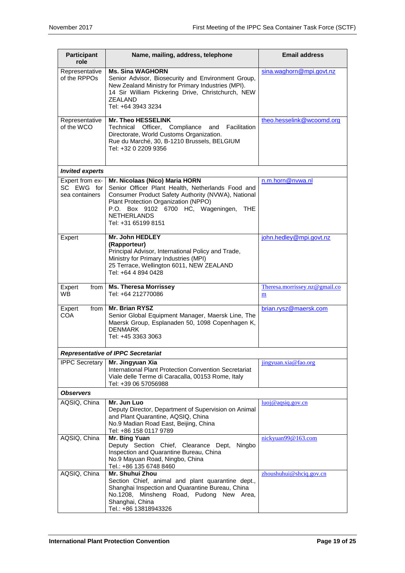| <b>Participant</b><br>role                      | Name, mailing, address, telephone                                                                                                                                                                                                                                            | <b>Email address</b>               |  |  |  |  |
|-------------------------------------------------|------------------------------------------------------------------------------------------------------------------------------------------------------------------------------------------------------------------------------------------------------------------------------|------------------------------------|--|--|--|--|
| Representative<br>of the RPPOs                  | <b>Ms. Sina WAGHORN</b><br>Senior Advisor, Biosecurity and Environment Group,<br>New Zealand Ministry for Primary Industries (MPI).<br>14 Sir William Pickering Drive, Christchurch, NEW<br>ZEALAND<br>Tel: +64 3943 3234                                                    | sina.waghorn@mpi.govt.nz           |  |  |  |  |
| Representative<br>of the WCO                    | Mr. Theo HESSELINK<br>Facilitation<br>Technical Officer, Compliance<br>and<br>Directorate, World Customs Organization.<br>Rue du Marché, 30, B-1210 Brussels, BELGIUM<br>Tel: +32 0 2209 9356                                                                                | theo.hesselink@wcoomd.org          |  |  |  |  |
| <b>Invited experts</b>                          |                                                                                                                                                                                                                                                                              |                                    |  |  |  |  |
| Expert from ex-<br>SC EWG for<br>sea containers | Mr. Nicolaas (Nico) Maria HORN<br>Senior Officer Plant Health, Netherlands Food and<br>Consumer Product Safety Authority (NVWA), National<br>Plant Protection Organization (NPPO)<br>P.O. Box 9102 6700 HC, Wageningen,<br>THE.<br><b>NETHERLANDS</b><br>Tel: +31 65199 8151 | n.m.horn@nvwa.nl                   |  |  |  |  |
| Expert                                          | Mr. John HEDLEY<br>(Rapporteur)<br>Principal Advisor, International Policy and Trade,<br>Ministry for Primary Industries (MPI)<br>25 Terrace, Wellington 6011, NEW ZEALAND<br>Tel: +64 4 894 0428                                                                            | john.hedley@mpi.govt.nz            |  |  |  |  |
| Expert<br>from<br>WB.                           | <b>Ms. Theresa Morrissey</b><br>Tel: +64 212770086                                                                                                                                                                                                                           | Theresa.morrissey.nz@gmail.co<br>m |  |  |  |  |
| Expert<br>from<br>COA                           | <b>Mr. Brian RYSZ</b><br>Senior Global Equipment Manager, Maersk Line, The<br>Maersk Group, Esplanaden 50, 1098 Copenhagen K,<br><b>DENMARK</b><br>Tel: +45 3363 3063                                                                                                        | brian.rysz@maersk.com              |  |  |  |  |
|                                                 | <b>Representative of IPPC Secretariat</b>                                                                                                                                                                                                                                    |                                    |  |  |  |  |
| <b>IPPC</b> Secretary                           | Mr. Jingyuan Xia<br>International Plant Protection Convention Secretariat<br>Viale delle Terme di Caracalla, 00153 Rome, Italy<br>Tel: +39 06 57056988                                                                                                                       | jingyuan.xia@fao.org               |  |  |  |  |
| <b>Observers</b>                                |                                                                                                                                                                                                                                                                              |                                    |  |  |  |  |
| AQSIQ, China                                    | Mr. Jun Luo<br>Deputy Director, Department of Supervision on Animal<br>and Plant Quarantine, AQSIQ, China<br>No.9 Madian Road East, Beijing, China<br>Tel: +86 158 0117 9789                                                                                                 | luoj@aqsiq.gov.cn                  |  |  |  |  |
| AQSIQ, China                                    | Mr. Bing Yuan<br>Deputy Section Chief, Clearance Dept,<br>Ningbo<br>Inspection and Quarantine Bureau, China<br>No.9 Mayuan Road, Ningbo, China<br>Tel.: +86 135 6748 8460                                                                                                    | nickyuan99@163.com                 |  |  |  |  |
| AQSIQ, China                                    | Mr. Shuhui Zhou<br>Section Chief, animal and plant quarantine dept.,<br>Shanghai Inspection and Quarantine Bureau, China<br>No.1208, Minsheng Road, Pudong New Area,<br>Shanghai, China<br>Tel.: +86 13818943326                                                             | zhoushuhui@shciq.gov.cn            |  |  |  |  |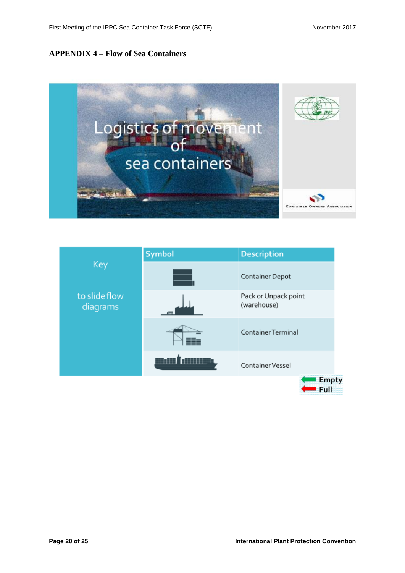# <span id="page-19-0"></span>**APPENDIX 4 – Flow of Sea Containers**



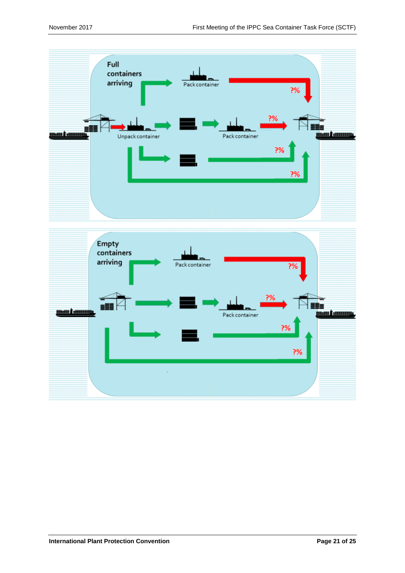

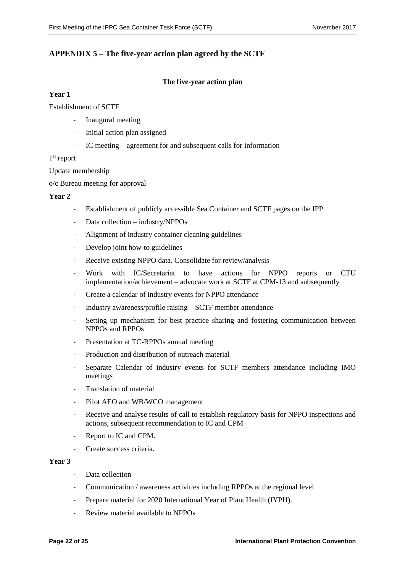# <span id="page-21-0"></span>**APPENDIX 5 – The five-year action plan agreed by the SCTF**

#### **The five-year action plan**

#### **Year 1**

Establishment of SCTF

- Inaugural meeting
- Initial action plan assigned
- IC meeting agreement for and subsequent calls for information

#### 1<sup>st</sup> report

Update membership

o/c Bureau meeting for approval

#### **Year 2**

- Establishment of publicly accessible Sea Container and SCTF pages on the IPP
- Data collection industry/NPPOs
- Alignment of industry container cleaning guidelines
- Develop joint how-to guidelines
- Receive existing NPPO data. Consolidate for review/analysis
- Work with IC/Secretariat to have actions for NPPO reports or CTU implementation/achievement – advocate work at SCTF at CPM-13 and subsequently
- Create a calendar of industry events for NPPO attendance
- Industry awareness/profile raising SCTF member attendance
- Setting up mechanism for best practice sharing and fostering communication between NPPOs and RPPOs
- Presentation at TC-RPPOs annual meeting
- Production and distribution of outreach material
- Separate Calendar of industry events for SCTF members attendance including IMO meetings
- Translation of material
- Pilot AEO and WB/WCO management
- Receive and analyse results of call to establish regulatory basis for NPPO inspections and actions, subsequent recommendation to IC and CPM
- Report to IC and CPM.
- Create success criteria.

#### **Year 3**

- Data collection
- Communication / awareness activities including RPPOs at the regional level
- Prepare material for 2020 International Year of Plant Health (IYPH).
- Review material available to NPPOs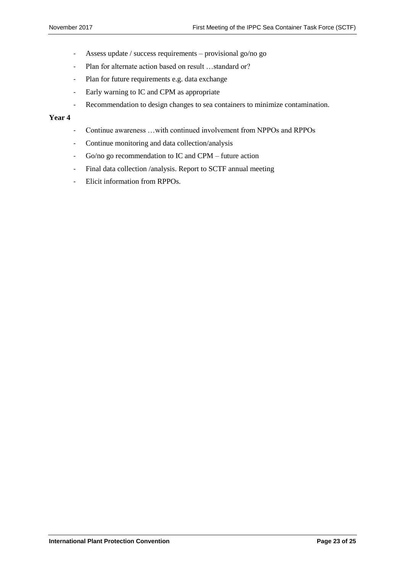- Assess update / success requirements provisional go/no go
- Plan for alternate action based on result …standard or?
- Plan for future requirements e.g. data exchange
- Early warning to IC and CPM as appropriate
- Recommendation to design changes to sea containers to minimize contamination.

#### **Year 4**

- Continue awareness …with continued involvement from NPPOs and RPPOs
- Continue monitoring and data collection/analysis
- Go/no go recommendation to IC and CPM future action
- Final data collection /analysis. Report to SCTF annual meeting
- Elicit information from RPPOs.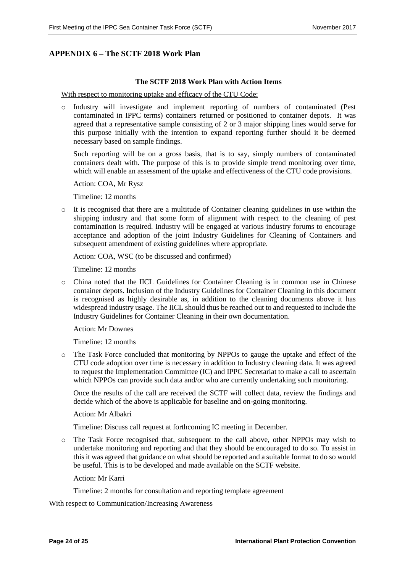# <span id="page-23-0"></span>**APPENDIX 6 – The SCTF 2018 Work Plan**

#### **The SCTF 2018 Work Plan with Action Items**

With respect to monitoring uptake and efficacy of the CTU Code:

o Industry will investigate and implement reporting of numbers of contaminated (Pest contaminated in IPPC terms) containers returned or positioned to container depots. It was agreed that a representative sample consisting of 2 or 3 major shipping lines would serve for this purpose initially with the intention to expand reporting further should it be deemed necessary based on sample findings.

Such reporting will be on a gross basis, that is to say, simply numbers of contaminated containers dealt with. The purpose of this is to provide simple trend monitoring over time, which will enable an assessment of the uptake and effectiveness of the CTU code provisions.

Action: COA, Mr Rysz

Timeline: 12 months

o It is recognised that there are a multitude of Container cleaning guidelines in use within the shipping industry and that some form of alignment with respect to the cleaning of pest contamination is required. Industry will be engaged at various industry forums to encourage acceptance and adoption of the joint Industry Guidelines for Cleaning of Containers and subsequent amendment of existing guidelines where appropriate.

Action: COA, WSC (to be discussed and confirmed)

Timeline: 12 months

o China noted that the IICL Guidelines for Container Cleaning is in common use in Chinese container depots. Inclusion of the Industry Guidelines for Container Cleaning in this document is recognised as highly desirable as, in addition to the cleaning documents above it has widespread industry usage. The IICL should thus be reached out to and requested to include the Industry Guidelines for Container Cleaning in their own documentation.

Action: Mr Downes

Timeline: 12 months

o The Task Force concluded that monitoring by NPPOs to gauge the uptake and effect of the CTU code adoption over time is necessary in addition to Industry cleaning data. It was agreed to request the Implementation Committee (IC) and IPPC Secretariat to make a call to ascertain which NPPOs can provide such data and/or who are currently undertaking such monitoring.

Once the results of the call are received the SCTF will collect data, review the findings and decide which of the above is applicable for baseline and on-going monitoring.

#### Action: Mr Albakri

Timeline: Discuss call request at forthcoming IC meeting in December.

o The Task Force recognised that, subsequent to the call above, other NPPOs may wish to undertake monitoring and reporting and that they should be encouraged to do so. To assist in this it was agreed that guidance on what should be reported and a suitable format to do so would be useful. This is to be developed and made available on the SCTF website.

Action: Mr Karri

Timeline: 2 months for consultation and reporting template agreement

With respect to Communication/Increasing Awareness